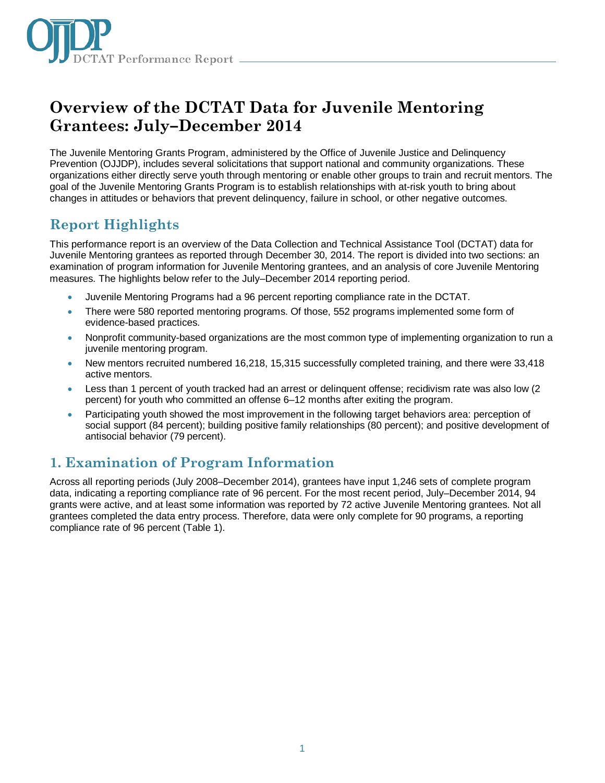

# **Overview of the DCTAT Data for Juvenile Mentoring Grantees: July–December 2014**

The Juvenile Mentoring Grants Program, administered by the Office of Juvenile Justice and Delinquency Prevention (OJJDP), includes several solicitations that support national and community organizations. These organizations either directly serve youth through mentoring or enable other groups to train and recruit mentors. The goal of the Juvenile Mentoring Grants Program is to establish relationships with at-risk youth to bring about changes in attitudes or behaviors that prevent delinquency, failure in school, or other negative outcomes.

# **Report Highlights**

This performance report is an overview of the Data Collection and Technical Assistance Tool (DCTAT) data for Juvenile Mentoring grantees as reported through December 30, 2014. The report is divided into two sections: an examination of program information for Juvenile Mentoring grantees, and an analysis of core Juvenile Mentoring measures. The highlights below refer to the July–December 2014 reporting period.

- Juvenile Mentoring Programs had a 96 percent reporting compliance rate in the DCTAT.
- There were 580 reported mentoring programs. Of those, 552 programs implemented some form of evidence-based practices.
- Nonprofit community-based organizations are the most common type of implementing organization to run a juvenile mentoring program.
- New mentors recruited numbered 16,218, 15,315 successfully completed training, and there were 33,418 active mentors.
- Less than 1 percent of youth tracked had an arrest or delinquent offense; recidivism rate was also low (2 percent) for youth who committed an offense 6–12 months after exiting the program.
- Participating youth showed the most improvement in the following target behaviors area: perception of social support (84 percent); building positive family relationships (80 percent); and positive development of antisocial behavior (79 percent).

# **1. Examination of Program Information**

Across all reporting periods (July 2008–December 2014), grantees have input 1,246 sets of complete program data, indicating a reporting compliance rate of 96 percent. For the most recent period, July–December 2014, 94 grants were active, and at least some information was reported by 72 active Juvenile Mentoring grantees. Not all grantees completed the data entry process. Therefore, data were only complete for 90 programs, a reporting compliance rate of 96 percent (Table 1).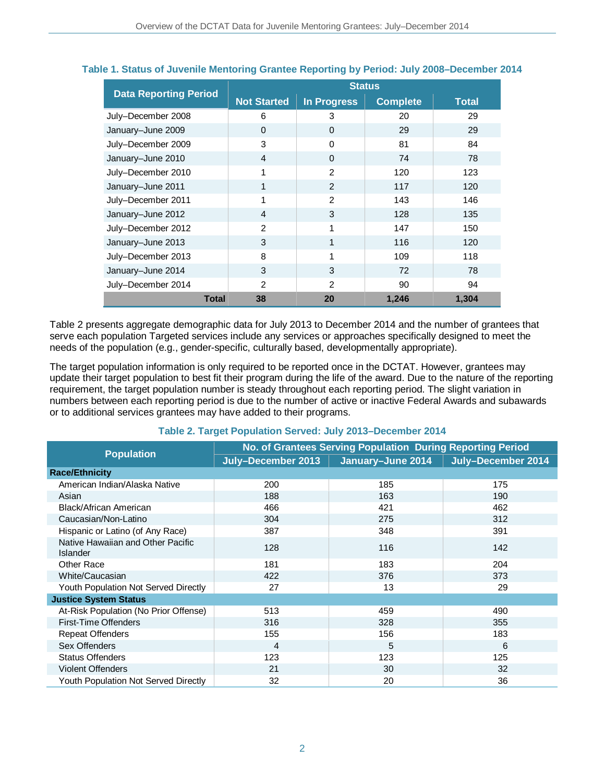|                              | <b>Status</b>      |                    |                 |              |
|------------------------------|--------------------|--------------------|-----------------|--------------|
| <b>Data Reporting Period</b> | <b>Not Started</b> | <b>In Progress</b> | <b>Complete</b> | <b>Total</b> |
| July-December 2008           | 6                  | 3                  | 20              | 29           |
| January-June 2009            | $\Omega$           | $\Omega$           | 29              | 29           |
| July-December 2009           | 3                  | $\Omega$           | 81              | 84           |
| January-June 2010            | $\overline{4}$     | $\Omega$           | 74              | 78           |
| July-December 2010           | 1                  | $\mathcal{P}$      | 120             | 123          |
| January-June 2011            | 1                  | $\mathcal{P}$      | 117             | 120          |
| July-December 2011           | 1                  | 2                  | 143             | 146          |
| January-June 2012            | $\overline{4}$     | 3                  | 128             | 135          |
| July-December 2012           | $\mathfrak{p}$     | 1                  | 147             | 150          |
| January-June 2013            | 3                  | 1                  | 116             | 120          |
| July-December 2013           | 8                  | 1                  | 109             | 118          |
| January-June 2014            | 3                  | 3                  | 72              | 78           |
| July-December 2014           | $\mathcal{P}$      | 2                  | 90              | 94           |
| <b>Total</b>                 | 38                 | 20                 | 1,246           | 1,304        |

### **Table 1. Status of Juvenile Mentoring Grantee Reporting by Period: July 2008–December 2014**

Table 2 presents aggregate demographic data for July 2013 to December 2014 and the number of grantees that serve each population Targeted services include any services or approaches specifically designed to meet the needs of the population (e.g., gender-specific, culturally based, developmentally appropriate).

The target population information is only required to be reported once in the DCTAT. However, grantees may update their target population to best fit their program during the life of the award. Due to the nature of the reporting requirement, the target population number is steady throughout each reporting period. The slight variation in numbers between each reporting period is due to the number of active or inactive Federal Awards and subawards or to additional services grantees may have added to their programs.

### **Table 2. Target Population Served: July 2013–December 2014**

|                                                      | No. of Grantees Serving Population During Reporting Period |                   |                    |  |
|------------------------------------------------------|------------------------------------------------------------|-------------------|--------------------|--|
| <b>Population</b>                                    | July-December 2013                                         | January-June 2014 | July-December 2014 |  |
| <b>Race/Ethnicity</b>                                |                                                            |                   |                    |  |
| American Indian/Alaska Native                        | 200                                                        | 185               | 175                |  |
| Asian                                                | 188                                                        | 163               | 190                |  |
| Black/African American                               | 466                                                        | 421               | 462                |  |
| Caucasian/Non-Latino                                 | 304                                                        | 275               | 312                |  |
| Hispanic or Latino (of Any Race)                     | 387                                                        | 348               | 391                |  |
| Native Hawaiian and Other Pacific<br><b>Islander</b> | 128                                                        | 116               | 142                |  |
| Other Race                                           | 181                                                        | 183               | 204                |  |
| White/Caucasian                                      | 422                                                        | 376               | 373                |  |
| Youth Population Not Served Directly                 | 27                                                         | 13                | 29                 |  |
| <b>Justice System Status</b>                         |                                                            |                   |                    |  |
| At-Risk Population (No Prior Offense)                | 513                                                        | 459               | 490                |  |
| First-Time Offenders                                 | 316                                                        | 328               | 355                |  |
| <b>Repeat Offenders</b>                              | 155                                                        | 156               | 183                |  |
| Sex Offenders                                        | 4                                                          | 5                 | 6                  |  |
| <b>Status Offenders</b>                              | 123                                                        | 123               | 125                |  |
| <b>Violent Offenders</b>                             | 21                                                         | 30                | 32                 |  |
| <b>Youth Population Not Served Directly</b>          | 32                                                         | 20                | 36                 |  |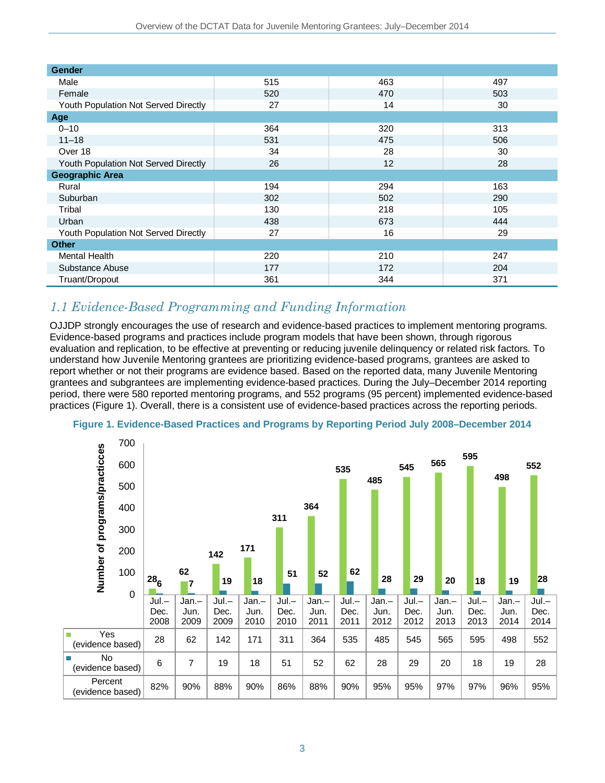| <b>Gender</b>                        |     |     |     |
|--------------------------------------|-----|-----|-----|
| Male                                 | 515 | 463 | 497 |
| Female                               | 520 | 470 | 503 |
| Youth Population Not Served Directly | 27  | 14  | 30  |
| Age                                  |     |     |     |
| $0 - 10$                             | 364 | 320 | 313 |
| $11 - 18$                            | 531 | 475 | 506 |
| Over 18                              | 34  | 28  | 30  |
| Youth Population Not Served Directly | 26  | 12  | 28  |
| <b>Geographic Area</b>               |     |     |     |
| Rural                                | 194 | 294 | 163 |
| Suburban                             | 302 | 502 | 290 |
| Tribal                               | 130 | 218 | 105 |
| Urban                                | 438 | 673 | 444 |
| Youth Population Not Served Directly | 27  | 16  | 29  |
| <b>Other</b>                         |     |     |     |
| Mental Health                        | 220 | 210 | 247 |
| Substance Abuse                      | 177 | 172 | 204 |
| Truant/Dropout                       | 361 | 344 | 371 |

### *1.1 Evidence-Based Programming and Funding Information*

OJJDP strongly encourages the use of research and evidence-based practices to implement mentoring programs. Evidence-based programs and practices include program models that have been shown, through rigorous evaluation and replication, to be effective at preventing or reducing juvenile delinquency or related risk factors. To understand how Juvenile Mentoring grantees are prioritizing evidence-based programs, grantees are asked to report whether or not their programs are evidence based. Based on the reported data, many Juvenile Mentoring grantees and subgrantees are implementing evidence-based practices. During the July–December 2014 reporting period, there were 580 reported mentoring programs, and 552 programs (95 percent) implemented evidence-based practices (Figure 1). Overall, there is a consistent use of evidence-based practices across the reporting periods.



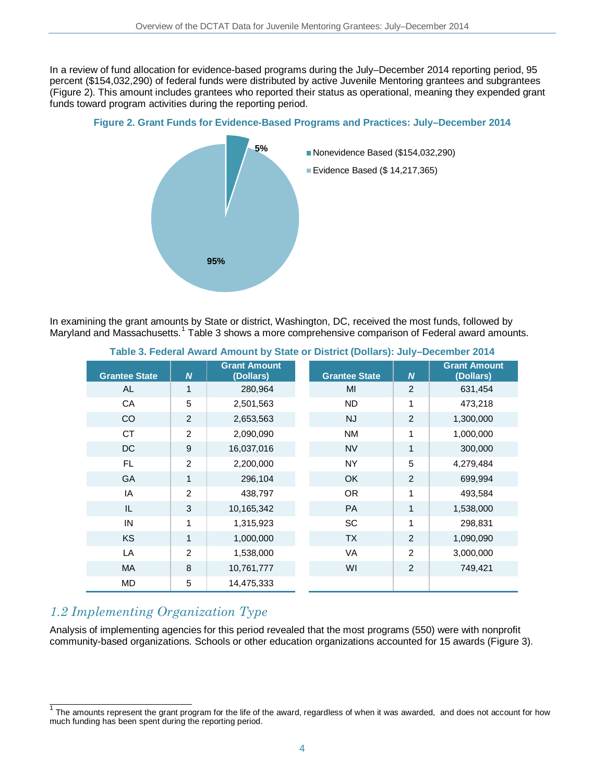In a review of fund allocation for evidence-based programs during the July–December 2014 reporting period, 95 percent (\$154,032,290) of federal funds were distributed by active Juvenile Mentoring grantees and subgrantees (Figure 2). This amount includes grantees who reported their status as operational, meaning they expended grant funds toward program activities during the reporting period.

### **Figure 2. Grant Funds for Evidence-Based Programs and Practices: July–December 2014**



In examining the grant amounts by State or district, Washington, DC, received the most funds, followed by Maryland and Massachusetts.<sup>[1](#page-3-0)</sup> Table 3 shows a more comprehensive comparison of Federal award amounts.

| <b>Grantee State</b> | $\overline{N}$ | <b>Grant Amount</b><br>(Dollars) | <b>Grantee State</b> | $\boldsymbol{N}$ | <b>Grant Amount</b><br>(Dollars) |
|----------------------|----------------|----------------------------------|----------------------|------------------|----------------------------------|
| <b>AL</b>            | 1              | 280,964                          | MI                   | $\overline{2}$   | 631,454                          |
| CA                   | 5              | 2,501,563                        | <b>ND</b>            | 1                | 473,218                          |
| CO                   | $\overline{2}$ | 2,653,563                        | <b>NJ</b>            | $\overline{2}$   | 1,300,000                        |
| <b>CT</b>            | 2              | 2,090,090                        | <b>NM</b>            | 1                | 1,000,000                        |
| DC                   | 9              | 16,037,016                       | <b>NV</b>            | $\mathbf{1}$     | 300,000                          |
| FL.                  | $\overline{2}$ | 2,200,000                        | <b>NY</b>            | 5                | 4,279,484                        |
| GA                   | 1              | 296,104                          | <b>OK</b>            | $\overline{2}$   | 699,994                          |
| IA                   | $\overline{2}$ | 438,797                          | <b>OR</b>            | 1                | 493,584                          |
| IL                   | 3              | 10,165,342                       | PA                   | 1                | 1,538,000                        |
| IN                   | 1              | 1,315,923                        | SC                   | 1                | 298,831                          |
| KS                   | 1              | 1,000,000                        | <b>TX</b>            | $\overline{2}$   | 1,090,090                        |
| LA                   | 2              | 1,538,000                        | <b>VA</b>            | $\overline{2}$   | 3,000,000                        |
| <b>MA</b>            | 8              | 10,761,777                       | WI                   | $\overline{2}$   | 749,421                          |
| MD                   | 5              | 14,475,333                       |                      |                  |                                  |

### **Table 3. Federal Award Amount by State or District (Dollars): July–December 2014**

### *1.2 Implementing Organization Type*

Analysis of implementing agencies for this period revealed that the most programs (550) were with nonprofit community-based organizations. Schools or other education organizations accounted for 15 awards (Figure 3).

<span id="page-3-0"></span> $1$  The amounts represent the grant program for the life of the award, regardless of when it was awarded, and does not account for how much funding has been spent during the reporting period.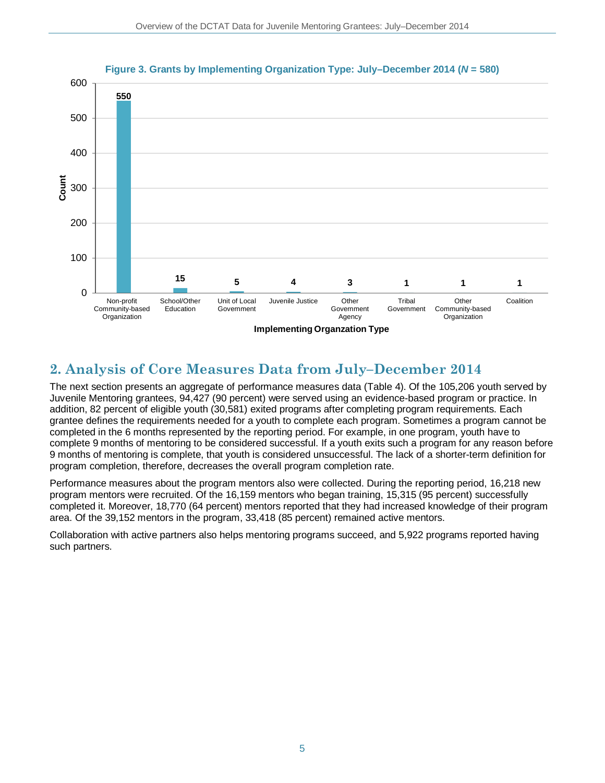

#### **Figure 3. Grants by Implementing Organization Type: July–December 2014 (***N* **= 580)**

## **2. Analysis of Core Measures Data from July–December 2014**

The next section presents an aggregate of performance measures data (Table 4). Of the 105,206 youth served by Juvenile Mentoring grantees, 94,427 (90 percent) were served using an evidence-based program or practice. In addition, 82 percent of eligible youth (30,581) exited programs after completing program requirements. Each grantee defines the requirements needed for a youth to complete each program. Sometimes a program cannot be completed in the 6 months represented by the reporting period. For example, in one program, youth have to complete 9 months of mentoring to be considered successful. If a youth exits such a program for any reason before 9 months of mentoring is complete, that youth is considered unsuccessful. The lack of a shorter-term definition for program completion, therefore, decreases the overall program completion rate.

Performance measures about the program mentors also were collected. During the reporting period, 16,218 new program mentors were recruited. Of the 16,159 mentors who began training, 15,315 (95 percent) successfully completed it. Moreover, 18,770 (64 percent) mentors reported that they had increased knowledge of their program area. Of the 39,152 mentors in the program, 33,418 (85 percent) remained active mentors.

Collaboration with active partners also helps mentoring programs succeed, and 5,922 programs reported having such partners.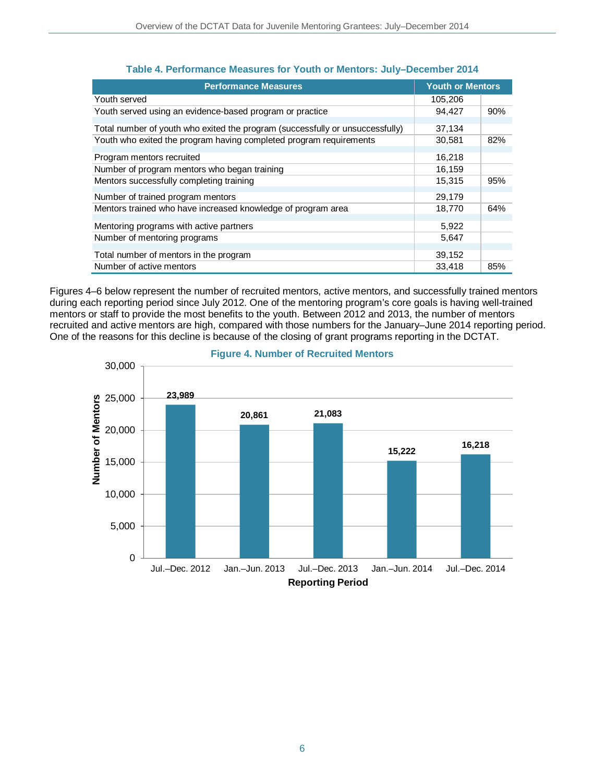| <b>Performance Measures</b>                                                   | <b>Youth or Mentors</b> |     |
|-------------------------------------------------------------------------------|-------------------------|-----|
| Youth served                                                                  | 105,206                 |     |
| Youth served using an evidence-based program or practice                      | 94,427                  | 90% |
| Total number of youth who exited the program (successfully or unsuccessfully) | 37,134                  |     |
| Youth who exited the program having completed program requirements            | 30,581                  | 82% |
| Program mentors recruited                                                     | 16,218                  |     |
| Number of program mentors who began training                                  | 16,159                  |     |
| Mentors successfully completing training                                      | 15,315                  | 95% |
| Number of trained program mentors                                             | 29,179                  |     |
| Mentors trained who have increased knowledge of program area                  | 18,770                  | 64% |
| Mentoring programs with active partners                                       | 5,922                   |     |
| Number of mentoring programs                                                  | 5,647                   |     |
| Total number of mentors in the program                                        | 39,152                  |     |
| Number of active mentors                                                      | 33.418                  | 85% |

### **Table 4. Performance Measures for Youth or Mentors: July–December 2014**

Figures 4–6 below represent the number of recruited mentors, active mentors, and successfully trained mentors during each reporting period since July 2012. One of the mentoring program's core goals is having well-trained mentors or staff to provide the most benefits to the youth. Between 2012 and 2013, the number of mentors recruited and active mentors are high, compared with those numbers for the January–June 2014 reporting period. One of the reasons for this decline is because of the closing of grant programs reporting in the DCTAT.



### **Figure 4. Number of Recruited Mentors**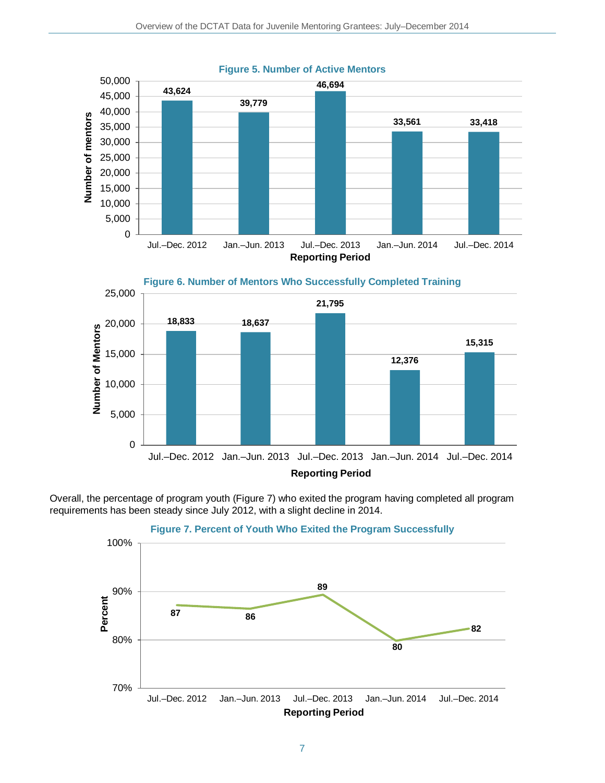

#### **Figure 5. Number of Active Mentors**

Overall, the percentage of program youth (Figure 7) who exited the program having completed all program requirements has been steady since July 2012, with a slight decline in 2014.

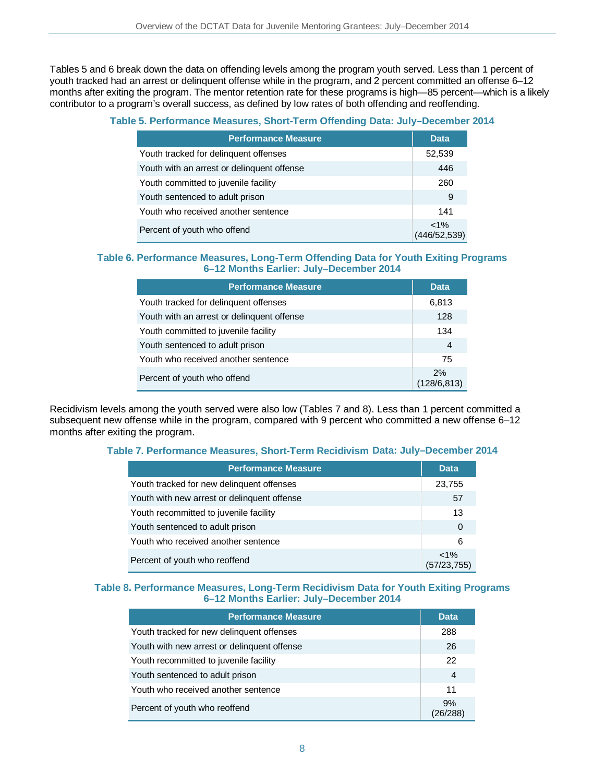Tables 5 and 6 break down the data on offending levels among the program youth served. Less than 1 percent of youth tracked had an arrest or delinquent offense while in the program, and 2 percent committed an offense 6–12 months after exiting the program. The mentor retention rate for these programs is high—85 percent—which is a likely contributor to a program's overall success, as defined by low rates of both offending and reoffending.

### **Table 5. Performance Measures, Short-Term Offending Data: July–December 2014**

| <b>Performance Measure</b>                 | <b>Data</b>             |
|--------------------------------------------|-------------------------|
| Youth tracked for delinquent offenses      | 52,539                  |
| Youth with an arrest or delinguent offense | 446                     |
| Youth committed to juvenile facility       | 260                     |
| Youth sentenced to adult prison            | 9                       |
| Youth who received another sentence        | 141                     |
| Percent of youth who offend                | $< 1\%$<br>(446/52,539) |

#### **Table 6. Performance Measures, Long-Term Offending Data for Youth Exiting Programs 6–12 Months Earlier: July–December 2014**

| <b>Performance Measure</b>                 | <b>Data</b>        |
|--------------------------------------------|--------------------|
| Youth tracked for delinguent offenses      | 6,813              |
| Youth with an arrest or delinguent offense | 128                |
| Youth committed to juvenile facility       | 134                |
| Youth sentenced to adult prison            | 4                  |
| Youth who received another sentence        | 75                 |
| Percent of youth who offend                | 2%<br>(128/6, 813) |

Recidivism levels among the youth served were also low (Tables 7 and 8). Less than 1 percent committed a subsequent new offense while in the program, compared with 9 percent who committed a new offense 6–12 months after exiting the program.

### **Table 7. Performance Measures, Short-Term Recidivism Data: July–December 2014**

| <b>Performance Measure</b>                  | <b>Data</b>             |
|---------------------------------------------|-------------------------|
| Youth tracked for new delinguent offenses   | 23,755                  |
| Youth with new arrest or delinquent offense | 57                      |
| Youth recommitted to juvenile facility      |                         |
| Youth sentenced to adult prison             | $\Omega$                |
| Youth who received another sentence         | 6                       |
| Percent of youth who reoffend               | $< 1\%$<br>(57/23, 755) |

#### **Table 8. Performance Measures, Long-Term Recidivism Data for Youth Exiting Programs 6–12 Months Earlier: July–December 2014**

| <b>Performance Measure</b>                  | <b>Data</b> |
|---------------------------------------------|-------------|
| Youth tracked for new delinquent offenses   | 288         |
| Youth with new arrest or delinguent offense | 26          |
| Youth recommitted to juvenile facility      | 22          |
| Youth sentenced to adult prison             | 4           |
| Youth who received another sentence         | 11          |
| Percent of youth who reoffend               | 9%          |